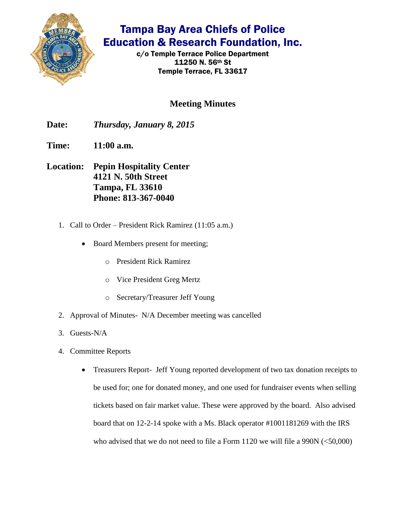

## Tampa Bay Area Chiefs of Police Education & Research Foundation, Inc.

c/o Temple Terrace Police Department 11250 N. 56th St Temple Terrace, FL 33617

### **Meeting Minutes**

**Date:** *Thursday, January 8, 2015*

**Time: 11:00 a.m.**

- **Location: Pepin Hospitality Center 4121 N. 50th Street Tampa, FL 33610 Phone: 813-367-0040**
	- 1. Call to Order President Rick Ramirez (11:05 a.m.)
		- Board Members present for meeting;
			- o President Rick Ramirez
			- o Vice President Greg Mertz
			- o Secretary/Treasurer Jeff Young
	- 2. Approval of Minutes- N/A December meeting was cancelled
	- 3. Guests-N/A
	- 4. Committee Reports
		- Treasurers Report- Jeff Young reported development of two tax donation receipts to be used for; one for donated money, and one used for fundraiser events when selling tickets based on fair market value. These were approved by the board. Also advised board that on 12-2-14 spoke with a Ms. Black operator #1001181269 with the IRS who advised that we do not need to file a Form  $1120$  we will file a 990N  $(\leq 50,000)$